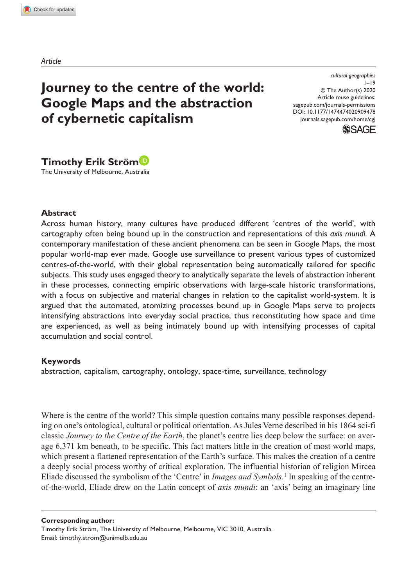*Article*

# **Journey to the centre of the world: Google Maps and the abstraction of cybernetic capitalism**

DOI: 10.1177/1474474020909478 *cultural geographies*   $1 - 19$ © The Author(s) 2020 Article reuse guidelines: [sagepub.com/journals-permissions](https://uk.sagepub.com/en-gb/journals-permissions) [journals.sagepub.com/home/cgj](https://journals.sagepub.com/home/cgj)



**Timothy Erik Ström**

The University of Melbourne, Australia

#### **Abstract**

Across human history, many cultures have produced different 'centres of the world', with cartography often being bound up in the construction and representations of this *axis mundi*. A contemporary manifestation of these ancient phenomena can be seen in Google Maps, the most popular world-map ever made. Google use surveillance to present various types of customized centres-of-the-world, with their global representation being automatically tailored for specific subjects. This study uses engaged theory to analytically separate the levels of abstraction inherent in these processes, connecting empiric observations with large-scale historic transformations, with a focus on subjective and material changes in relation to the capitalist world-system. It is argued that the automated, atomizing processes bound up in Google Maps serve to projects intensifying abstractions into everyday social practice, thus reconstituting how space and time are experienced, as well as being intimately bound up with intensifying processes of capital accumulation and social control.

#### **Keywords**

abstraction, capitalism, cartography, ontology, space-time, surveillance, technology

Where is the centre of the world? This simple question contains many possible responses depending on one's ontological, cultural or political orientation. As Jules Verne described in his 1864 sci-fi classic *Journey to the Centre of the Earth*, the planet's centre lies deep below the surface: on average 6,371 km beneath, to be specific. This fact matters little in the creation of most world maps, which present a flattened representation of the Earth's surface. This makes the creation of a centre a deeply social process worthy of critical exploration. The influential historian of religion Mircea Eliade discussed the symbolism of the 'Centre' in *Images and Symbols*.<sup>1</sup> In speaking of the centreof-the-world, Eliade drew on the Latin concept of *axis mundi*: an 'axis' being an imaginary line

**Corresponding author:**

Timothy Erik Ström, The University of Melbourne, Melbourne, VIC 3010, Australia. Email: [timothy.strom@unimelb.edu.au](mailto:timothy.strom@unimelb.edu.au)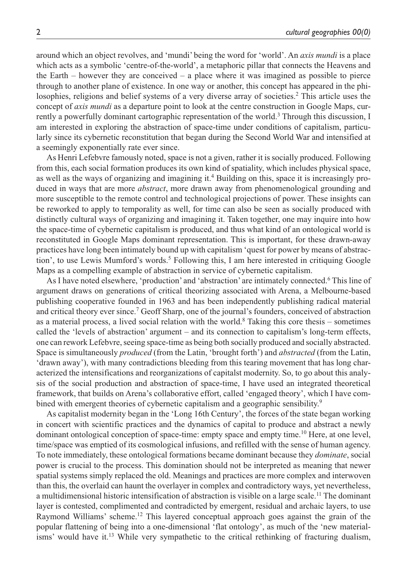around which an object revolves, and 'mundi' being the word for 'world'. An *axis mundi* is a place which acts as a symbolic 'centre-of-the-world', a metaphoric pillar that connects the Heavens and the Earth – however they are conceived – a place where it was imagined as possible to pierce through to another plane of existence. In one way or another, this concept has appeared in the philosophies, religions and belief systems of a very diverse array of societies.<sup>2</sup> This article uses the concept of *axis mundi* as a departure point to look at the centre construction in Google Maps, currently a powerfully dominant cartographic representation of the world.<sup>3</sup> Through this discussion, I am interested in exploring the abstraction of space-time under conditions of capitalism, particularly since its cybernetic reconstitution that began during the Second World War and intensified at a seemingly exponentially rate ever since.

As Henri Lefebvre famously noted, space is not a given, rather it is socially produced. Following from this, each social formation produces its own kind of spatiality, which includes physical space, as well as the ways of organizing and imagining it.<sup>4</sup> Building on this, space it is increasingly produced in ways that are more *abstract*, more drawn away from phenomenological grounding and more susceptible to the remote control and technological projections of power. These insights can be reworked to apply to temporality as well, for time can also be seen as socially produced with distinctly cultural ways of organizing and imagining it. Taken together, one may inquire into how the space-time of cybernetic capitalism is produced, and thus what kind of an ontological world is reconstituted in Google Maps dominant representation. This is important, for these drawn-away practices have long been intimately bound up with capitalism 'quest for power by means of abstraction', to use Lewis Mumford's words.<sup>5</sup> Following this, I am here interested in critiquing Google Maps as a compelling example of abstraction in service of cybernetic capitalism.

As I have noted elsewhere, 'production' and 'abstraction' are intimately connected.6 This line of argument draws on generations of critical theorizing associated with Arena, a Melbourne-based publishing cooperative founded in 1963 and has been independently publishing radical material and critical theory ever since.<sup>7</sup> Geoff Sharp, one of the journal's founders, conceived of abstraction as a material process, a lived social relation with the world.<sup>8</sup> Taking this core thesis – sometimes called the 'levels of abstraction' argument – and its connection to capitalism's long-term effects, one can rework Lefebvre, seeing space-time as being both socially produced and socially abstracted. Space is simultaneously *produced* (from the Latin, 'brought forth') and *abstracted* (from the Latin, 'drawn away'), with many contradictions bleeding from this tearing movement that has long characterized the intensifications and reorganizations of capitalst modernity. So, to go about this analysis of the social production and abstraction of space-time, I have used an integrated theoretical framework, that builds on Arena's collaborative effort, called 'engaged theory', which I have combined with emergent theories of cybernetic capitalism and a geographic sensibility.<sup>9</sup>

As capitalist modernity began in the 'Long 16th Century', the forces of the state began working in concert with scientific practices and the dynamics of capital to produce and abstract a newly dominant ontological conception of space-time: empty space and empty time.<sup>10</sup> Here, at one level, time/space was emptied of its cosmological infusions, and refilled with the sense of human agency. To note immediately, these ontological formations became dominant because they *dominate*, social power is crucial to the process. This domination should not be interpreted as meaning that newer spatial systems simply replaced the old. Meanings and practices are more complex and interwoven than this, the overlaid can haunt the overlayer in complex and contradictory ways, yet nevertheless, a multidimensional historic intensification of abstraction is visible on a large scale.<sup>11</sup> The dominant layer is contested, complimented and contradicted by emergent, residual and archaic layers, to use Raymond Williams' scheme.12 This layered conceptual approach goes against the grain of the popular flattening of being into a one-dimensional 'flat ontology', as much of the 'new materialisms' would have it.<sup>13</sup> While very sympathetic to the critical rethinking of fracturing dualism,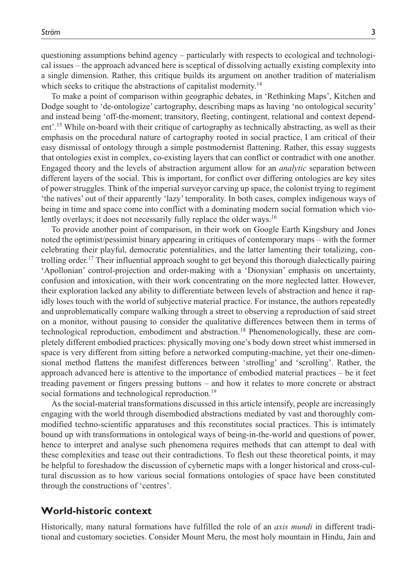questioning assumptions behind agency – particularly with respects to ecological and technological issues – the approach advanced here is sceptical of dissolving actually existing complexity into a single dimension. Rather, this critique builds its argument on another tradition of materialism which seeks to critique the abstractions of capitalist modernity.<sup>14</sup>

To make a point of comparison within geographic debates, in 'Rethinking Maps', Kitchen and Dodge sought to 'de-ontologize' cartography, describing maps as having 'no ontological security' and instead being 'off-the-moment; transitory, fleeting, contingent, relational and context dependent'.15 While on-board with their critique of cartography as technically abstracting, as well as their emphasis on the procedural nature of cartography rooted in social practice, I am critical of their easy dismissal of ontology through a simple postmodernist flattening. Rather, this essay suggests that ontologies exist in complex, co-existing layers that can conflict or contradict with one another. Engaged theory and the levels of abstraction argument allow for an *analytic* separation between different layers of the social. This is important, for conflict over differing ontologies are key sites of power struggles. Think of the imperial surveyor carving up space, the colonist trying to regiment 'the natives' out of their apparently 'lazy' temporality. In both cases, complex indigenous ways of being in time and space come into conflict with a dominating modern social formation which violently overlays; it does not necessarily fully replace the older ways.<sup>16</sup>

To provide another point of comparison, in their work on Google Earth Kingsbury and Jones noted the optimist/pessimist binary appearing in critiques of contemporary maps – with the former celebrating their playful, democratic potentialities, and the latter lamenting their totalizing, controlling order.<sup>17</sup> Their influential approach sought to get beyond this thorough dialectically pairing 'Apollonian' control-projection and order-making with a 'Dionysian' emphasis on uncertainty, confusion and intoxication, with their work concentrating on the more neglected latter. However, their exploration lacked any ability to differentiate between levels of abstraction and hence it rapidly loses touch with the world of subjective material practice. For instance, the authors repeatedly and unproblematically compare walking through a street to observing a reproduction of said street on a monitor, without pausing to consider the qualitative differences between them in terms of technological reproduction, embodiment and abstraction.18 Phenomenologically, these are completely different embodied practices: physically moving one's body down street whist immersed in space is very different from sitting before a networked computing-machine, yet their one-dimensional method flattens the manifest differences between 'strolling' and 'scrolling'. Rather, the approach advanced here is attentive to the importance of embodied material practices – be it feet treading pavement or fingers pressing buttons – and how it relates to more concrete or abstract social formations and technological reproduction.<sup>19</sup>

As the social-material transformations discussed in this article intensify, people are increasingly engaging with the world through disembodied abstractions mediated by vast and thoroughly commodified techno-scientific apparatuses and this reconstitutes social practices. This is intimately bound up with transformations in ontological ways of being-in-the-world and questions of power, hence to interpret and analyse such phenomena requires methods that can attempt to deal with these complexities and tease out their contradictions. To flesh out these theoretical points, it may be helpful to foreshadow the discussion of cybernetic maps with a longer historical and cross-cultural discussion as to how various social formations ontologies of space have been constituted through the constructions of 'centres'.

## **World-historic context**

Historically, many natural formations have fulfilled the role of an *axis mundi* in different traditional and customary societies. Consider Mount Meru, the most holy mountain in Hindu, Jain and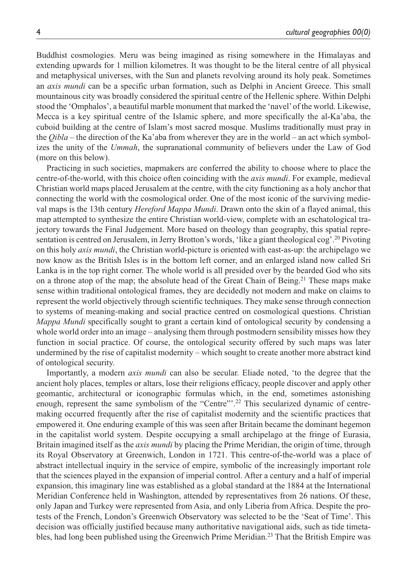Buddhist cosmologies. Meru was being imagined as rising somewhere in the Himalayas and extending upwards for 1 million kilometres. It was thought to be the literal centre of all physical and metaphysical universes, with the Sun and planets revolving around its holy peak. Sometimes an *axis mundi* can be a specific urban formation, such as Delphi in Ancient Greece. This small mountainous city was broadly considered the spiritual centre of the Hellenic sphere. Within Delphi stood the 'Omphalos', a beautiful marble monument that marked the 'navel' of the world. Likewise, Mecca is a key spiritual centre of the Islamic sphere, and more specifically the al-Ka'aba, the cuboid building at the centre of Islam's most sacred mosque. Muslims traditionally must pray in the *Qibla –* the direction of the Ka'aba from wherever they are in the world – an act which symbolizes the unity of the *Ummah*, the supranational community of believers under the Law of God (more on this below).

Practicing in such societies, mapmakers are conferred the ability to choose where to place the centre-of-the-world, with this choice often coinciding with the *axis mundi*. For example, medieval Christian world maps placed Jerusalem at the centre, with the city functioning as a holy anchor that connecting the world with the cosmological order. One of the most iconic of the surviving medieval maps is the 13th century *Hereford Mappa Mundi*. Drawn onto the skin of a flayed animal, this map attempted to synthesize the entire Christian world-view, complete with an eschatological trajectory towards the Final Judgement. More based on theology than geography, this spatial representation is centred on Jerusalem, in Jerry Brotton's words, 'like a giant theological cog'.<sup>20</sup> Pivoting on this holy *axis mundi*, the Christian world-picture is oriented with east-as-up: the archipelago we now know as the British Isles is in the bottom left corner, and an enlarged island now called Sri Lanka is in the top right corner. The whole world is all presided over by the bearded God who sits on a throne atop of the map; the absolute head of the Great Chain of Being.21 These maps make sense within traditional ontological frames, they are decidedly not modern and make on claims to represent the world objectively through scientific techniques. They make sense through connection to systems of meaning-making and social practice centred on cosmological questions. Christian *Mappa Mundi* specifically sought to grant a certain kind of ontological security by condensing a whole world order into an image – analysing them through postmodern sensibility misses how they function in social practice. Of course, the ontological security offered by such maps was later undermined by the rise of capitalist modernity – which sought to create another more abstract kind of ontological security.

Importantly, a modern *axis mundi* can also be secular. Eliade noted, 'to the degree that the ancient holy places, temples or altars, lose their religions efficacy, people discover and apply other geomantic, architectural or iconographic formulas which, in the end, sometimes astonishing enough, represent the same symbolism of the "Centre"'.<sup>22</sup> This secularized dynamic of centremaking occurred frequently after the rise of capitalist modernity and the scientific practices that empowered it. One enduring example of this was seen after Britain became the dominant hegemon in the capitalist world system. Despite occupying a small archipelago at the fringe of Eurasia, Britain imagined itself as the *axis mundi* by placing the Prime Meridian, the origin of time, through its Royal Observatory at Greenwich, London in 1721. This centre-of-the-world was a place of abstract intellectual inquiry in the service of empire, symbolic of the increasingly important role that the sciences played in the expansion of imperial control. After a century and a half of imperial expansion, this imaginary line was established as a global standard at the 1884 at the International Meridian Conference held in Washington, attended by representatives from 26 nations. Of these, only Japan and Turkey were represented from Asia, and only Liberia from Africa. Despite the protests of the French, London's Greenwich Observatory was selected to be the 'Seat of Time'. This decision was officially justified because many authoritative navigational aids, such as tide timetables, had long been published using the Greenwich Prime Meridian.<sup>23</sup> That the British Empire was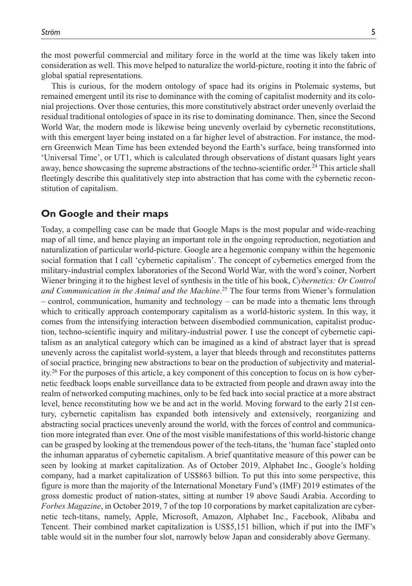the most powerful commercial and military force in the world at the time was likely taken into consideration as well. This move helped to naturalize the world-picture, rooting it into the fabric of global spatial representations.

This is curious, for the modern ontology of space had its origins in Ptolemaic systems, but remained emergent until its rise to dominance with the coming of capitalist modernity and its colonial projections. Over those centuries, this more constitutively abstract order unevenly overlaid the residual traditional ontologies of space in its rise to dominating dominance. Then, since the Second World War, the modern mode is likewise being unevenly overlaid by cybernetic reconstitutions, with this emergent layer being instated on a far higher level of abstraction. For instance, the modern Greenwich Mean Time has been extended beyond the Earth's surface, being transformed into 'Universal Time', or UT1, which is calculated through observations of distant quasars light years away, hence showcasing the supreme abstractions of the techno-scientific order.<sup>24</sup> This article shall fleetingly describe this qualitatively step into abstraction that has come with the cybernetic reconstitution of capitalism.

# **On Google and their maps**

Today, a compelling case can be made that Google Maps is the most popular and wide-reaching map of all time, and hence playing an important role in the ongoing reproduction, negotiation and naturalization of particular world-picture. Google are a hegemonic company within the hegemonic social formation that I call 'cybernetic capitalism'. The concept of cybernetics emerged from the military-industrial complex laboratories of the Second World War, with the word's coiner, Norbert Wiener bringing it to the highest level of synthesis in the title of his book, *Cybernetics: Or Control and Communication in the Animal and the Machine*. 25 The four terms from Wiener's formulation – control, communication, humanity and technology – can be made into a thematic lens through which to critically approach contemporary capitalism as a world-historic system. In this way, it comes from the intensifying interaction between disembodied communication, capitalist production, techno-scientific inquiry and military-industrial power. I use the concept of cybernetic capitalism as an analytical category which can be imagined as a kind of abstract layer that is spread unevenly across the capitalist world-system, a layer that bleeds through and reconstitutes patterns of social practice, bringing new abstractions to bear on the production of subjectivity and materiality.<sup>26</sup> For the purposes of this article, a key component of this conception to focus on is how cybernetic feedback loops enable surveillance data to be extracted from people and drawn away into the realm of networked computing machines, only to be fed back into social practice at a more abstract level, hence reconstituting how we be and act in the world. Moving forward to the early 21st century, cybernetic capitalism has expanded both intensively and extensively, reorganizing and abstracting social practices unevenly around the world, with the forces of control and communication more integrated than ever. One of the most visible manifestations of this world-historic change can be grasped by looking at the tremendous power of the tech-titans, the 'human face' stapled onto the inhuman apparatus of cybernetic capitalism. A brief quantitative measure of this power can be seen by looking at market capitalization. As of October 2019, Alphabet Inc., Google's holding company, had a market capitalization of US\$863 billion. To put this into some perspective, this figure is more than the majority of the International Monetary Fund's (IMF) 2019 estimates of the gross domestic product of nation-states, sitting at number 19 above Saudi Arabia. According to *Forbes Magazine*, in October 2019, 7 of the top 10 corporations by market capitalization are cybernetic tech-titans, namely, Apple, Microsoft, Amazon, Alphabet Inc., Facebook, Alibaba and Tencent. Their combined market capitalization is US\$5,151 billion, which if put into the IMF's table would sit in the number four slot, narrowly below Japan and considerably above Germany.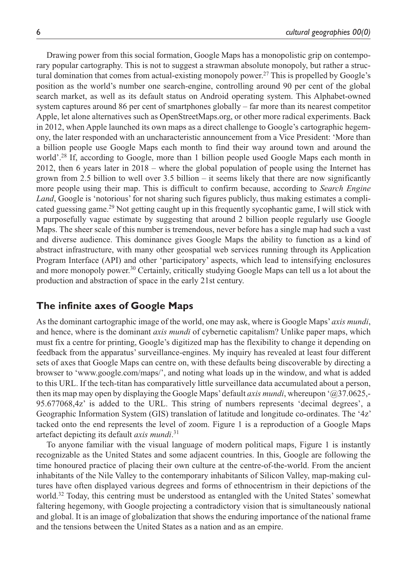Drawing power from this social formation, Google Maps has a monopolistic grip on contemporary popular cartography. This is not to suggest a strawman absolute monopoly, but rather a structural domination that comes from actual-existing monopoly power.27 This is propelled by Google's position as the world's number one search-engine, controlling around 90 per cent of the global search market, as well as its default status on Android operating system. This Alphabet-owned system captures around 86 per cent of smartphones globally – far more than its nearest competitor Apple, let alone alternatives such as OpenStreetMaps.org, or other more radical experiments. Back in 2012, when Apple launched its own maps as a direct challenge to Google's cartographic hegemony, the later responded with an uncharacteristic announcement from a Vice President: 'More than a billion people use Google Maps each month to find their way around town and around the world'.28 If, according to Google, more than 1 billion people used Google Maps each month in 2012, then 6 years later in 2018 – where the global population of people using the Internet has grown from 2.5 billion to well over  $3.5$  billion – it seems likely that there are now significantly more people using their map. This is difficult to confirm because, according to *Search Engine Land*, Google is 'notorious' for not sharing such figures publicly, thus making estimates a complicated guessing game.<sup>29</sup> Not getting caught up in this frequently sycophantic game, I will stick with a purposefully vague estimate by suggesting that around 2 billion people regularly use Google Maps. The sheer scale of this number is tremendous, never before has a single map had such a vast and diverse audience. This dominance gives Google Maps the ability to function as a kind of abstract infrastructure, with many other geospatial web services running through its Application Program Interface (API) and other 'participatory' aspects, which lead to intensifying enclosures and more monopoly power.30 Certainly, critically studying Google Maps can tell us a lot about the production and abstraction of space in the early 21st century.

# **The infinite axes of Google Maps**

As the dominant cartographic image of the world, one may ask, where is Google Maps' *axis mundi*, and hence, where is the dominant *axis mundi* of cybernetic capitalism? Unlike paper maps, which must fix a centre for printing, Google's digitized map has the flexibility to change it depending on feedback from the apparatus' surveillance-engines. My inquiry has revealed at least four different sets of axes that Google Maps can centre on, with these defaults being discoverable by directing a browser to '<www.google.com/maps/>', and noting what loads up in the window, and what is added to this URL. If the tech-titan has comparatively little surveillance data accumulated about a person, then its map may open by displaying the Google Maps' default *axis mundi*, whereupon '@37.0625,- 95.677068,4z' is added to the URL. This string of numbers represents 'decimal degrees', a Geographic Information System (GIS) translation of latitude and longitude co-ordinates. The '4z' tacked onto the end represents the level of zoom. Figure 1 is a reproduction of a Google Maps artefact depicting its default *axis mundi*. 31

To anyone familiar with the visual language of modern political maps, Figure 1 is instantly recognizable as the United States and some adjacent countries. In this, Google are following the time honoured practice of placing their own culture at the centre-of-the-world. From the ancient inhabitants of the Nile Valley to the contemporary inhabitants of Silicon Valley, map-making cultures have often displayed various degrees and forms of ethnocentrism in their depictions of the world.32 Today, this centring must be understood as entangled with the United States' somewhat faltering hegemony, with Google projecting a contradictory vision that is simultaneously national and global. It is an image of globalization that shows the enduring importance of the national frame and the tensions between the United States as a nation and as an empire.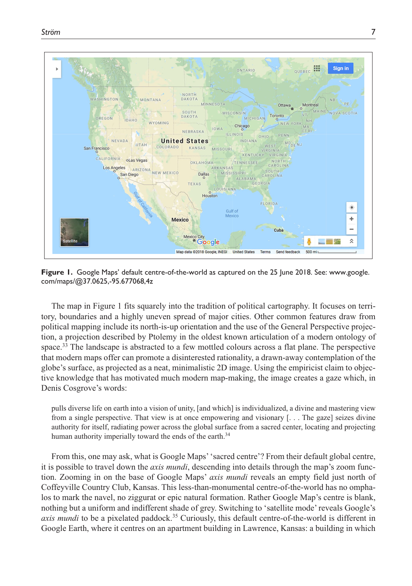

**Figure 1.** Google Maps' default centre-of-the-world as captured on the 25 June 2018. See: [www.google.](www.google.com/maps/@37.0625,-95.677068,4z) [com/maps/@](www.google.com/maps/@37.0625,-95.677068,4z)37.0625,-95.677068,4z

The map in Figure 1 fits squarely into the tradition of political cartography. It focuses on territory, boundaries and a highly uneven spread of major cities. Other common features draw from political mapping include its north-is-up orientation and the use of the General Perspective projection, a projection described by Ptolemy in the oldest known articulation of a modern ontology of space.<sup>33</sup> The landscape is abstracted to a few mottled colours across a flat plane. The perspective that modern maps offer can promote a disinterested rationality, a drawn-away contemplation of the globe's surface, as projected as a neat, minimalistic 2D image. Using the empiricist claim to objective knowledge that has motivated much modern map-making, the image creates a gaze which, in Denis Cosgrove's words:

pulls diverse life on earth into a vision of unity, [and which] is individualized, a divine and mastering view from a single perspective. That view is at once empowering and visionary [. . . The gaze] seizes divine authority for itself, radiating power across the global surface from a sacred center, locating and projecting human authority imperially toward the ends of the earth.<sup>34</sup>

From this, one may ask, what is Google Maps' 'sacred centre'? From their default global centre, it is possible to travel down the *axis mundi*, descending into details through the map's zoom function. Zooming in on the base of Google Maps' *axis mundi* reveals an empty field just north of Coffeyville Country Club, Kansas. This less-than-monumental centre-of-the-world has no omphalos to mark the navel, no ziggurat or epic natural formation. Rather Google Map's centre is blank, nothing but a uniform and indifferent shade of grey. Switching to 'satellite mode' reveals Google's *axis mundi* to be a pixelated paddock.<sup>35</sup> Curiously, this default centre-of-the-world is different in Google Earth, where it centres on an apartment building in Lawrence, Kansas: a building in which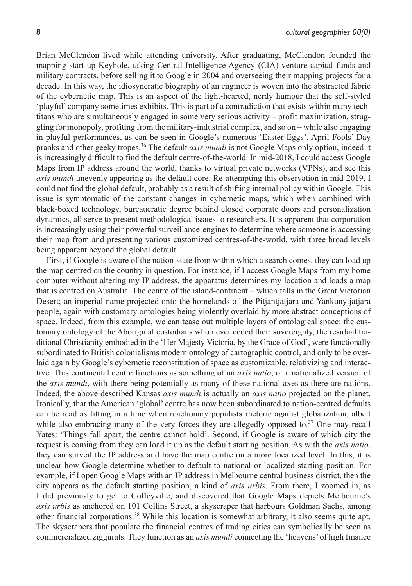Brian McClendon lived while attending university. After graduating, McClendon founded the mapping start-up Keyhole, taking Central Intelligence Agency (CIA) venture capital funds and military contracts, before selling it to Google in 2004 and overseeing their mapping projects for a decade. In this way, the idiosyncratic biography of an engineer is woven into the abstracted fabric of the cybernetic map. This is an aspect of the light-hearted, nerdy humour that the self-styled 'playful' company sometimes exhibits. This is part of a contradiction that exists within many techtitans who are simultaneously engaged in some very serious activity – profit maximization, struggling for monopoly, profiting from the military-industrial complex, and so on – while also engaging in playful performances, as can be seen in Google's numerous 'Easter Eggs', April Fools' Day pranks and other geeky tropes.36 The default *axis mundi* is not Google Maps only option, indeed it is increasingly difficult to find the default centre-of-the-world. In mid-2018, I could access Google Maps from IP address around the world, thanks to virtual private networks (VPNs), and see this *axis mundi* unevenly appearing as the default core. Re-attempting this observation in mid-2019, I could not find the global default, probably as a result of shifting internal policy within Google. This issue is symptomatic of the constant changes in cybernetic maps, which when combined with black-boxed technology, bureaucratic degree behind closed corporate doors and personalization dynamics, all serve to present methodological issues to researchers. It is apparent that corporation is increasingly using their powerful surveillance-engines to determine where someone is accessing their map from and presenting various customized centres-of-the-world, with three broad levels being apparent beyond the global default.

First, if Google is aware of the nation-state from within which a search comes, they can load up the map centred on the country in question. For instance, if I access Google Maps from my home computer without altering my IP address, the apparatus determines my location and loads a map that is centred on Australia. The centre of the island-continent – which falls in the Great Victorian Desert; an imperial name projected onto the homelands of the Pitjantjatjara and Yankunytjatjara people, again with customary ontologies being violently overlaid by more abstract conceptions of space. Indeed, from this example, we can tease out multiple layers of ontological space: the customary ontology of the Aboriginal custodians who never ceded their sovereignty, the residual traditional Christianity embodied in the 'Her Majesty Victoria, by the Grace of God', were functionally subordinated to British colonialisms modern ontology of cartographic control, and only to be overlaid again by Google's cybernetic reconstitution of space as customizable, relativizing and interactive. This continental centre functions as something of an *axis natio*, or a nationalized version of the *axis mundi*, with there being potentially as many of these national axes as there are nations. Indeed, the above described Kansas *axis mundi* is actually an *axis natio* projected on the planet. Ironically, that the American 'global' centre has now been subordinated to nation-centred defaults can be read as fitting in a time when reactionary populists rhetoric against globalization, albeit while also embracing many of the very forces they are allegedly opposed to.<sup>37</sup> One may recall Yates: 'Things fall apart, the centre cannot hold'. Second, if Google is aware of which city the request is coming from they can load it up as the default starting position. As with the *axis natio*, they can surveil the IP address and have the map centre on a more localized level. In this, it is unclear how Google determine whether to default to national or localized starting position. For example, if I open Google Maps with an IP address in Melbourne central business district, then the city appears as the default starting position, a kind of *axis urbis*. From there, I zoomed in, as I did previously to get to Coffeyville, and discovered that Google Maps depicts Melbourne's *axis urbis* as anchored on 101 Collins Street, a skyscraper that harbours Goldman Sachs, among other financial corporations.38 While this location is somewhat arbitrary, it also seems quite apt. The skyscrapers that populate the financial centres of trading cities can symbolically be seen as commercialized ziggurats. They function as an *axis mundi* connecting the 'heavens' of high finance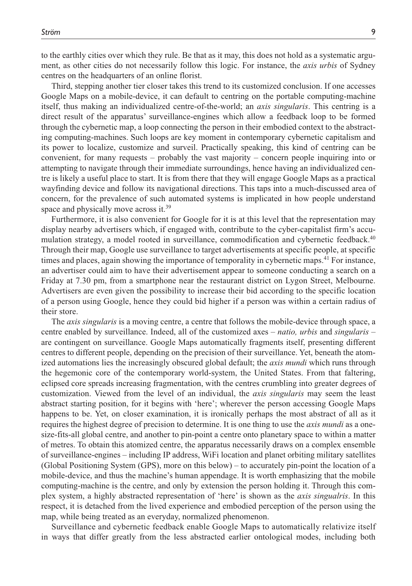to the earthly cities over which they rule. Be that as it may, this does not hold as a systematic argument, as other cities do not necessarily follow this logic. For instance, the *axis urbis* of Sydney centres on the headquarters of an online florist.

Third, stepping another tier closer takes this trend to its customized conclusion. If one accesses Google Maps on a mobile-device, it can default to centring on the portable computing-machine itself, thus making an individualized centre-of-the-world; an *axis singularis*. This centring is a direct result of the apparatus' surveillance-engines which allow a feedback loop to be formed through the cybernetic map, a loop connecting the person in their embodied context to the abstracting computing-machines. Such loops are key moment in contemporary cybernetic capitalism and its power to localize, customize and surveil. Practically speaking, this kind of centring can be convenient, for many requests – probably the vast majority – concern people inquiring into or attempting to navigate through their immediate surroundings, hence having an individualized centre is likely a useful place to start. It is from there that they will engage Google Maps as a practical wayfinding device and follow its navigational directions. This taps into a much-discussed area of concern, for the prevalence of such automated systems is implicated in how people understand space and physically move across it.<sup>39</sup>

Furthermore, it is also convenient for Google for it is at this level that the representation may display nearby advertisers which, if engaged with, contribute to the cyber-capitalist firm's accumulation strategy, a model rooted in surveillance, commodification and cybernetic feedback.<sup>40</sup> Through their map, Google use surveillance to target advertisements at specific people, at specific times and places, again showing the importance of temporality in cybernetic maps.<sup>41</sup> For instance, an advertiser could aim to have their advertisement appear to someone conducting a search on a Friday at 7.30 pm, from a smartphone near the restaurant district on Lygon Street, Melbourne. Advertisers are even given the possibility to increase their bid according to the specific location of a person using Google, hence they could bid higher if a person was within a certain radius of their store.

The *axis singularis* is a moving centre, a centre that follows the mobile-device through space, a centre enabled by surveillance. Indeed, all of the customized axes – *natio, urbis* and *singularis* – are contingent on surveillance. Google Maps automatically fragments itself, presenting different centres to different people, depending on the precision of their surveillance. Yet, beneath the atomized automations lies the increasingly obscured global default; the *axis mundi* which runs through the hegemonic core of the contemporary world-system, the United States. From that faltering, eclipsed core spreads increasing fragmentation, with the centres crumbling into greater degrees of customization. Viewed from the level of an individual, the *axis singularis* may seem the least abstract starting position, for it begins with 'here'; wherever the person accessing Google Maps happens to be. Yet, on closer examination, it is ironically perhaps the most abstract of all as it requires the highest degree of precision to determine. It is one thing to use the *axis mundi* as a onesize-fits-all global centre, and another to pin-point a centre onto planetary space to within a matter of metres. To obtain this atomized centre, the apparatus necessarily draws on a complex ensemble of surveillance-engines – including IP address, WiFi location and planet orbiting military satellites (Global Positioning System (GPS), more on this below) – to accurately pin-point the location of a mobile-device, and thus the machine's human appendage. It is worth emphasizing that the mobile computing-machine is the centre, and only by extension the person holding it. Through this complex system, a highly abstracted representation of 'here' is shown as the *axis singualris*. In this respect, it is detached from the lived experience and embodied perception of the person using the map, while being treated as an everyday, normalized phenomenon.

Surveillance and cybernetic feedback enable Google Maps to automatically relativize itself in ways that differ greatly from the less abstracted earlier ontological modes, including both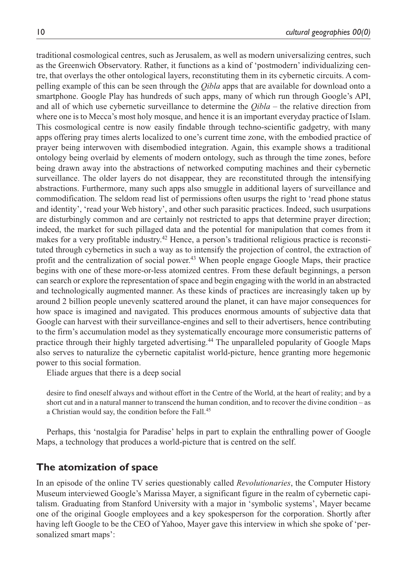traditional cosmological centres, such as Jerusalem, as well as modern universalizing centres, such as the Greenwich Observatory. Rather, it functions as a kind of 'postmodern' individualizing centre, that overlays the other ontological layers, reconstituting them in its cybernetic circuits. A compelling example of this can be seen through the *Qibla* apps that are available for download onto a smartphone. Google Play has hundreds of such apps, many of which run through Google's API, and all of which use cybernetic surveillance to determine the *Qibla* – the relative direction from where one is to Mecca's most holy mosque, and hence it is an important everyday practice of Islam. This cosmological centre is now easily findable through techno-scientific gadgetry, with many apps offering pray times alerts localized to one's current time zone, with the embodied practice of prayer being interwoven with disembodied integration. Again, this example shows a traditional ontology being overlaid by elements of modern ontology, such as through the time zones, before being drawn away into the abstractions of networked computing machines and their cybernetic surveillance. The older layers do not disappear, they are reconstituted through the intensifying abstractions. Furthermore, many such apps also smuggle in additional layers of surveillance and commodification. The seldom read list of permissions often usurps the right to 'read phone status and identity', 'read your Web history', and other such parasitic practices. Indeed, such usurpations are disturbingly common and are certainly not restricted to apps that determine prayer direction; indeed, the market for such pillaged data and the potential for manipulation that comes from it makes for a very profitable industry.<sup>42</sup> Hence, a person's traditional religious practice is reconstituted through cybernetics in such a way as to intensify the projection of control, the extraction of profit and the centralization of social power.43 When people engage Google Maps, their practice begins with one of these more-or-less atomized centres. From these default beginnings, a person can search or explore the representation of space and begin engaging with the world in an abstracted and technologically augmented manner. As these kinds of practices are increasingly taken up by around 2 billion people unevenly scattered around the planet, it can have major consequences for how space is imagined and navigated. This produces enormous amounts of subjective data that Google can harvest with their surveillance-engines and sell to their advertisers, hence contributing to the firm's accumulation model as they systematically encourage more consumeristic patterns of practice through their highly targeted advertising.44 The unparalleled popularity of Google Maps also serves to naturalize the cybernetic capitalist world-picture, hence granting more hegemonic power to this social formation.

Eliade argues that there is a deep social

desire to find oneself always and without effort in the Centre of the World, at the heart of reality; and by a short cut and in a natural manner to transcend the human condition, and to recover the divine condition – as a Christian would say, the condition before the Fall.45

Perhaps, this 'nostalgia for Paradise' helps in part to explain the enthralling power of Google Maps, a technology that produces a world-picture that is centred on the self.

# **The atomization of space**

In an episode of the online TV series questionably called *Revolutionaries*, the Computer History Museum interviewed Google's Marissa Mayer, a significant figure in the realm of cybernetic capitalism. Graduating from Stanford University with a major in 'symbolic systems', Mayer became one of the original Google employees and a key spokesperson for the corporation. Shortly after having left Google to be the CEO of Yahoo, Mayer gave this interview in which she spoke of 'personalized smart maps':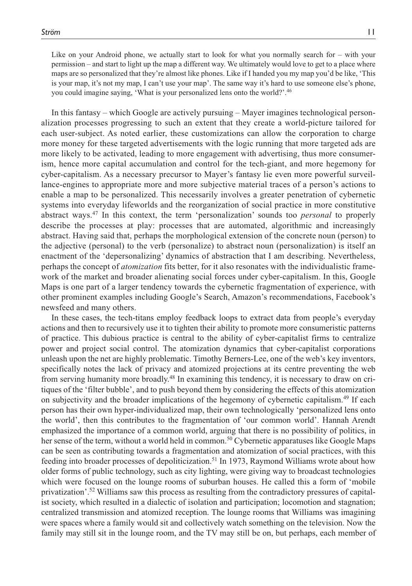Like on your Android phone, we actually start to look for what you normally search for – with your permission – and start to light up the map a different way. We ultimately would love to get to a place where maps are so personalized that they're almost like phones. Like if I handed you my map you'd be like, 'This is your map, it's not my map, I can't use your map'. The same way it's hard to use someone else's phone, you could imagine saying, 'What is your personalized lens onto the world?'.46

In this fantasy – which Google are actively pursuing – Mayer imagines technological personalization processes progressing to such an extent that they create a world-picture tailored for each user-subject. As noted earlier, these customizations can allow the corporation to charge more money for these targeted advertisements with the logic running that more targeted ads are more likely to be activated, leading to more engagement with advertising, thus more consumerism, hence more capital accumulation and control for the tech-giant, and more hegemony for cyber-capitalism. As a necessary precursor to Mayer's fantasy lie even more powerful surveillance-engines to appropriate more and more subjective material traces of a person's actions to enable a map to be personalized. This necessarily involves a greater penetration of cybernetic systems into everyday lifeworlds and the reorganization of social practice in more constitutive abstract ways.47 In this context, the term 'personalization' sounds too *personal* to properly describe the processes at play: processes that are automated, algorithmic and increasingly abstract. Having said that, perhaps the morphological extension of the concrete noun (person) to the adjective (personal) to the verb (personalize) to abstract noun (personalization) is itself an enactment of the 'depersonalizing' dynamics of abstraction that I am describing. Nevertheless, perhaps the concept of *atomization* fits better, for it also resonates with the individualistic framework of the market and broader alienating social forces under cyber-capitalism. In this, Google Maps is one part of a larger tendency towards the cybernetic fragmentation of experience, with other prominent examples including Google's Search, Amazon's recommendations, Facebook's newsfeed and many others.

In these cases, the tech-titans employ feedback loops to extract data from people's everyday actions and then to recursively use it to tighten their ability to promote more consumeristic patterns of practice. This dubious practice is central to the ability of cyber-capitalist firms to centralize power and project social control. The atomization dynamics that cyber-capitalist corporations unleash upon the net are highly problematic. Timothy Berners-Lee, one of the web's key inventors, specifically notes the lack of privacy and atomized projections at its centre preventing the web from serving humanity more broadly.48 In examining this tendency, it is necessary to draw on critiques of the 'filter bubble', and to push beyond them by considering the effects of this atomization on subjectivity and the broader implications of the hegemony of cybernetic capitalism.49 If each person has their own hyper-individualized map, their own technologically 'personalized lens onto the world', then this contributes to the fragmentation of 'our common world'. Hannah Arendt emphasized the importance of a common world, arguing that there is no possibility of politics, in her sense of the term, without a world held in common.<sup>50</sup> Cybernetic apparatuses like Google Maps can be seen as contributing towards a fragmentation and atomization of social practices, with this feeding into broader processes of depoliticization.51 In 1973, Raymond Williams wrote about how older forms of public technology, such as city lighting, were giving way to broadcast technologies which were focused on the lounge rooms of suburban houses. He called this a form of 'mobile privatization'.52 Williams saw this process as resulting from the contradictory pressures of capitalist society, which resulted in a dialectic of isolation and participation; locomotion and stagnation; centralized transmission and atomized reception. The lounge rooms that Williams was imagining were spaces where a family would sit and collectively watch something on the television. Now the family may still sit in the lounge room, and the TV may still be on, but perhaps, each member of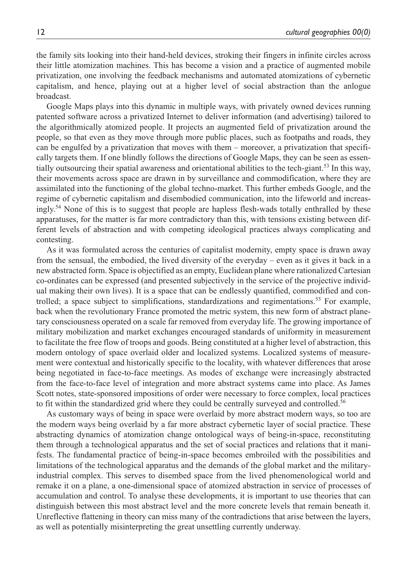the family sits looking into their hand-held devices, stroking their fingers in infinite circles across their little atomization machines. This has become a vision and a practice of augmented mobile privatization, one involving the feedback mechanisms and automated atomizations of cybernetic capitalism, and hence, playing out at a higher level of social abstraction than the anlogue broadcast.

Google Maps plays into this dynamic in multiple ways, with privately owned devices running patented software across a privatized Internet to deliver information (and advertising) tailored to the algorithmically atomized people. It projects an augmented field of privatization around the people, so that even as they move through more public places, such as footpaths and roads, they can be engulfed by a privatization that moves with them – moreover, a privatization that specifically targets them. If one blindly follows the directions of Google Maps, they can be seen as essentially outsourcing their spatial awareness and orientational abilities to the tech-giant.53 In this way, their movements across space are drawn in by surveillance and commodification, where they are assimilated into the functioning of the global techno-market. This further embeds Google, and the regime of cybernetic capitalism and disembodied communication, into the lifeworld and increasingly.<sup>54</sup> None of this is to suggest that people are hapless flesh-wads totally enthralled by these apparatuses, for the matter is far more contradictory than this, with tensions existing between different levels of abstraction and with competing ideological practices always complicating and contesting.

As it was formulated across the centuries of capitalist modernity, empty space is drawn away from the sensual, the embodied, the lived diversity of the everyday – even as it gives it back in a new abstracted form. Space is objectified as an empty, Euclidean plane where rationalized Cartesian co-ordinates can be expressed (and presented subjectively in the service of the projective individual making their own lives). It is a space that can be endlessly quantified, commodified and controlled; a space subject to simplifications, standardizations and regimentations.55 For example, back when the revolutionary France promoted the metric system, this new form of abstract planetary consciousness operated on a scale far removed from everyday life. The growing importance of military mobilization and market exchanges encouraged standards of uniformity in measurement to facilitate the free flow of troops and goods. Being constituted at a higher level of abstraction, this modern ontology of space overlaid older and localized systems. Localized systems of measurement were contextual and historically specific to the locality, with whatever differences that arose being negotiated in face-to-face meetings. As modes of exchange were increasingly abstracted from the face-to-face level of integration and more abstract systems came into place. As James Scott notes, state-sponsored impositions of order were necessary to force complex, local practices to fit within the standardized grid where they could be centrally surveyed and controlled.<sup>56</sup>

As customary ways of being in space were overlaid by more abstract modern ways, so too are the modern ways being overlaid by a far more abstract cybernetic layer of social practice. These abstracting dynamics of atomization change ontological ways of being-in-space, reconstituting them through a technological apparatus and the set of social practices and relations that it manifests. The fundamental practice of being-in-space becomes embroiled with the possibilities and limitations of the technological apparatus and the demands of the global market and the militaryindustrial complex. This serves to disembed space from the lived phenomenological world and remake it on a plane, a one-dimensional space of atomized abstraction in service of processes of accumulation and control. To analyse these developments, it is important to use theories that can distinguish between this most abstract level and the more concrete levels that remain beneath it. Unreflective flattening in theory can miss many of the contradictions that arise between the layers, as well as potentially misinterpreting the great unsettling currently underway.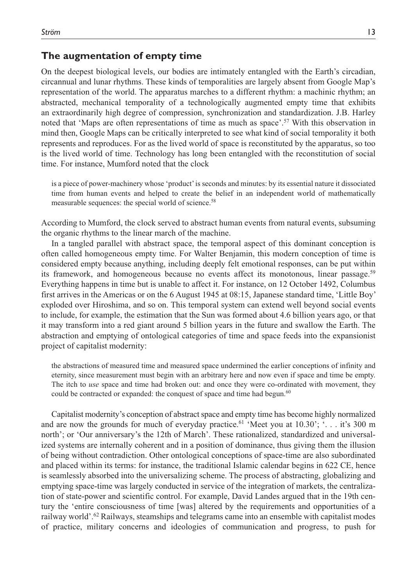### **The augmentation of empty time**

On the deepest biological levels, our bodies are intimately entangled with the Earth's circadian, circannual and lunar rhythms. These kinds of temporalities are largely absent from Google Map's representation of the world. The apparatus marches to a different rhythm: a machinic rhythm; an abstracted, mechanical temporality of a technologically augmented empty time that exhibits an extraordinarily high degree of compression, synchronization and standardization. J.B. Harley noted that 'Maps are often representations of time as much as space'.<sup>57</sup> With this observation in mind then, Google Maps can be critically interpreted to see what kind of social temporality it both represents and reproduces. For as the lived world of space is reconstituted by the apparatus, so too is the lived world of time. Technology has long been entangled with the reconstitution of social time. For instance, Mumford noted that the clock

is a piece of power-machinery whose 'product' is seconds and minutes: by its essential nature it dissociated time from human events and helped to create the belief in an independent world of mathematically measurable sequences: the special world of science.<sup>58</sup>

According to Mumford, the clock served to abstract human events from natural events, subsuming the organic rhythms to the linear march of the machine.

In a tangled parallel with abstract space, the temporal aspect of this dominant conception is often called homogeneous empty time. For Walter Benjamin, this modern conception of time is considered empty because anything, including deeply felt emotional responses, can be put within its framework, and homogeneous because no events affect its monotonous, linear passage.<sup>59</sup> Everything happens in time but is unable to affect it. For instance, on 12 October 1492, Columbus first arrives in the Americas or on the 6 August 1945 at 08:15, Japanese standard time, 'Little Boy' exploded over Hiroshima, and so on. This temporal system can extend well beyond social events to include, for example, the estimation that the Sun was formed about 4.6 billion years ago, or that it may transform into a red giant around 5 billion years in the future and swallow the Earth. The abstraction and emptying of ontological categories of time and space feeds into the expansionist project of capitalist modernity:

the abstractions of measured time and measured space undermined the earlier conceptions of infinity and eternity, since measurement must begin with an arbitrary here and now even if space and time be empty. The itch to *use* space and time had broken out: and once they were co-ordinated with movement, they could be contracted or expanded: the conquest of space and time had begun.<sup>60</sup>

Capitalist modernity's conception of abstract space and empty time has become highly normalized and are now the grounds for much of everyday practice.<sup>61</sup> 'Meet you at 10.30'; '. . . it's 300 m north'; or 'Our anniversary's the 12th of March'. These rationalized, standardized and universalized systems are internally coherent and in a position of dominance, thus giving them the illusion of being without contradiction. Other ontological conceptions of space-time are also subordinated and placed within its terms: for instance, the traditional Islamic calendar begins in 622 CE, hence is seamlessly absorbed into the universalizing scheme. The process of abstracting, globalizing and emptying space-time was largely conducted in service of the integration of markets, the centralization of state-power and scientific control. For example, David Landes argued that in the 19th century the 'entire consciousness of time [was] altered by the requirements and opportunities of a railway world'.62 Railways, steamships and telegrams came into an ensemble with capitalist modes of practice, military concerns and ideologies of communication and progress, to push for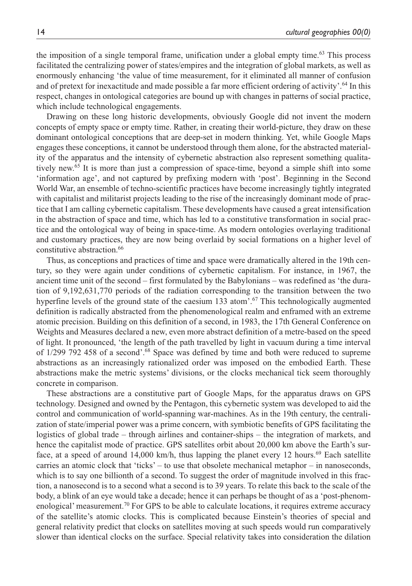the imposition of a single temporal frame, unification under a global empty time.<sup>63</sup> This process facilitated the centralizing power of states/empires and the integration of global markets, as well as enormously enhancing 'the value of time measurement, for it eliminated all manner of confusion and of pretext for inexactitude and made possible a far more efficient ordering of activity'.64 In this respect, changes in ontological categories are bound up with changes in patterns of social practice, which include technological engagements.

Drawing on these long historic developments, obviously Google did not invent the modern concepts of empty space or empty time. Rather, in creating their world-picture, they draw on these dominant ontological conceptions that are deep-set in modern thinking. Yet, while Google Maps engages these conceptions, it cannot be understood through them alone, for the abstracted materiality of the apparatus and the intensity of cybernetic abstraction also represent something qualitatively new.65 It is more than just a compression of space-time, beyond a simple shift into some 'information age', and not captured by prefixing modern with 'post'. Beginning in the Second World War, an ensemble of techno-scientific practices have become increasingly tightly integrated with capitalist and militarist projects leading to the rise of the increasingly dominant mode of practice that I am calling cybernetic capitalism. These developments have caused a great intensification in the abstraction of space and time, which has led to a constitutive transformation in social practice and the ontological way of being in space-time. As modern ontologies overlaying traditional and customary practices, they are now being overlaid by social formations on a higher level of constitutive abstraction.<sup>66</sup>

Thus, as conceptions and practices of time and space were dramatically altered in the 19th century, so they were again under conditions of cybernetic capitalism. For instance, in 1967, the ancient time unit of the second – first formulated by the Babylonians – was redefined as 'the duration of 9,192,631,770 periods of the radiation corresponding to the transition between the two hyperfine levels of the ground state of the caesium 133 atom'.<sup>67</sup> This technologically augmented definition is radically abstracted from the phenomenological realm and enframed with an extreme atomic precision. Building on this definition of a second, in 1983, the 17th General Conference on Weights and Measures declared a new, even more abstract definition of a metre-based on the speed of light. It pronounced, 'the length of the path travelled by light in vacuum during a time interval of 1/299 792 458 of a second'.68 Space was defined by time and both were reduced to supreme abstractions as an increasingly rationalized order was imposed on the embodied Earth. These abstractions make the metric systems' divisions, or the clocks mechanical tick seem thoroughly concrete in comparison.

These abstractions are a constitutive part of Google Maps, for the apparatus draws on GPS technology. Designed and owned by the Pentagon, this cybernetic system was developed to aid the control and communication of world-spanning war-machines. As in the 19th century, the centralization of state/imperial power was a prime concern, with symbiotic benefits of GPS facilitating the logistics of global trade – through airlines and container-ships – the integration of markets, and hence the capitalist mode of practice. GPS satellites orbit about 20,000 km above the Earth's surface, at a speed of around 14,000 km/h, thus lapping the planet every 12 hours.<sup>69</sup> Each satellite carries an atomic clock that 'ticks' – to use that obsolete mechanical metaphor – in nanoseconds, which is to say one billionth of a second. To suggest the order of magnitude involved in this fraction, a nanosecond is to a second what a second is to 39 years. To relate this back to the scale of the body, a blink of an eye would take a decade; hence it can perhaps be thought of as a 'post-phenomenological' measurement.<sup>70</sup> For GPS to be able to calculate locations, it requires extreme accuracy of the satellite's atomic clocks. This is complicated because Einstein's theories of special and general relativity predict that clocks on satellites moving at such speeds would run comparatively slower than identical clocks on the surface. Special relativity takes into consideration the dilation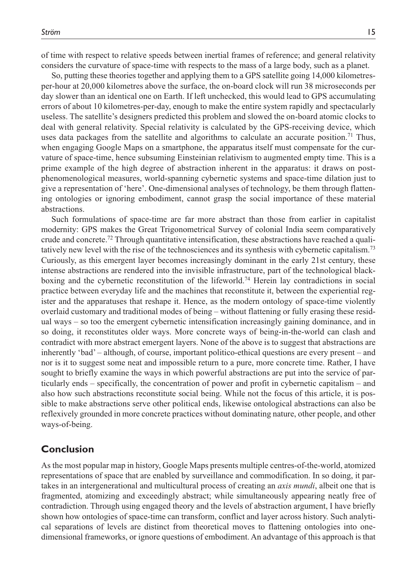of time with respect to relative speeds between inertial frames of reference; and general relativity considers the curvature of space-time with respects to the mass of a large body, such as a planet.

So, putting these theories together and applying them to a GPS satellite going 14,000 kilometresper-hour at 20,000 kilometres above the surface, the on-board clock will run 38 microseconds per day slower than an identical one on Earth. If left unchecked, this would lead to GPS accumulating errors of about 10 kilometres-per-day, enough to make the entire system rapidly and spectacularly useless. The satellite's designers predicted this problem and slowed the on-board atomic clocks to deal with general relativity. Special relativity is calculated by the GPS-receiving device, which uses data packages from the satellite and algorithms to calculate an accurate position.<sup>71</sup> Thus, when engaging Google Maps on a smartphone, the apparatus itself must compensate for the curvature of space-time, hence subsuming Einsteinian relativism to augmented empty time. This is a prime example of the high degree of abstraction inherent in the apparatus: it draws on postphenomenological measures, world-spanning cybernetic systems and space-time dilation just to give a representation of 'here'. One-dimensional analyses of technology, be them through flattening ontologies or ignoring embodiment, cannot grasp the social importance of these material abstractions.

Such formulations of space-time are far more abstract than those from earlier in capitalist modernity: GPS makes the Great Trigonometrical Survey of colonial India seem comparatively crude and concrete.72 Through quantitative intensification, these abstractions have reached a qualitatively new level with the rise of the technosciences and its synthesis with cybernetic capitalism.73 Curiously, as this emergent layer becomes increasingly dominant in the early 21st century, these intense abstractions are rendered into the invisible infrastructure, part of the technological blackboxing and the cybernetic reconstitution of the lifeworld.74 Herein lay contradictions in social practice between everyday life and the machines that reconstitute it, between the experiential register and the apparatuses that reshape it. Hence, as the modern ontology of space-time violently overlaid customary and traditional modes of being – without flattening or fully erasing these residual ways – so too the emergent cybernetic intensification increasingly gaining dominance, and in so doing, it reconstitutes older ways. More concrete ways of being-in-the-world can clash and contradict with more abstract emergent layers. None of the above is to suggest that abstractions are inherently 'bad' – although, of course, important politico-ethical questions are every present – and nor is it to suggest some neat and impossible return to a pure, more concrete time. Rather, I have sought to briefly examine the ways in which powerful abstractions are put into the service of particularly ends – specifically, the concentration of power and profit in cybernetic capitalism – and also how such abstractions reconstitute social being. While not the focus of this article, it is possible to make abstractions serve other political ends, likewise ontological abstractions can also be reflexively grounded in more concrete practices without dominating nature, other people, and other ways-of-being.

## **Conclusion**

As the most popular map in history, Google Maps presents multiple centres-of-the-world, atomized representations of space that are enabled by surveillance and commodification. In so doing, it partakes in an intergenerational and multicultural process of creating an *axis mundi*, albeit one that is fragmented, atomizing and exceedingly abstract; while simultaneously appearing neatly free of contradiction. Through using engaged theory and the levels of abstraction argument, I have briefly shown how ontologies of space-time can transform, conflict and layer across history. Such analytical separations of levels are distinct from theoretical moves to flattening ontologies into onedimensional frameworks, or ignore questions of embodiment. An advantage of this approach is that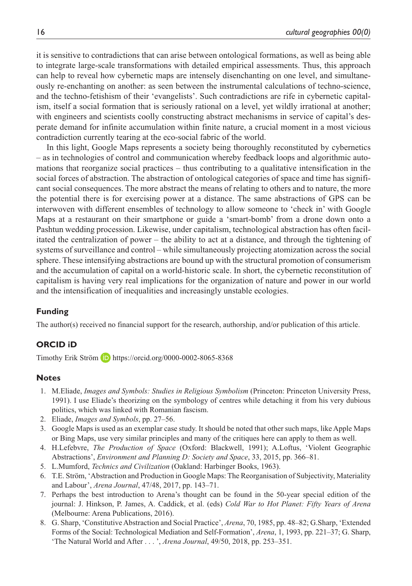it is sensitive to contradictions that can arise between ontological formations, as well as being able to integrate large-scale transformations with detailed empirical assessments. Thus, this approach can help to reveal how cybernetic maps are intensely disenchanting on one level, and simultaneously re-enchanting on another: as seen between the instrumental calculations of techno-science, and the techno-fetishism of their 'evangelists'. Such contradictions are rife in cybernetic capitalism, itself a social formation that is seriously rational on a level, yet wildly irrational at another; with engineers and scientists coolly constructing abstract mechanisms in service of capital's desperate demand for infinite accumulation within finite nature, a crucial moment in a most vicious contradiction currently tearing at the eco-social fabric of the world.

In this light, Google Maps represents a society being thoroughly reconstituted by cybernetics – as in technologies of control and communication whereby feedback loops and algorithmic automations that reorganize social practices – thus contributing to a qualitative intensification in the social forces of abstraction. The abstraction of ontological categories of space and time has significant social consequences. The more abstract the means of relating to others and to nature, the more the potential there is for exercising power at a distance. The same abstractions of GPS can be interwoven with different ensembles of technology to allow someone to 'check in' with Google Maps at a restaurant on their smartphone or guide a 'smart-bomb' from a drone down onto a Pashtun wedding procession. Likewise, under capitalism, technological abstraction has often facilitated the centralization of power – the ability to act at a distance, and through the tightening of systems of surveillance and control – while simultaneously projecting atomization across the social sphere. These intensifying abstractions are bound up with the structural promotion of consumerism and the accumulation of capital on a world-historic scale. In short, the cybernetic reconstitution of capitalism is having very real implications for the organization of nature and power in our world and the intensification of inequalities and increasingly unstable ecologies.

#### **Funding**

The author(s) received no financial support for the research, authorship, and/or publication of this article.

#### **ORCID iD**

Timothy Erik Ström D <https://orcid.org/0000-0002-8065-8368>

#### **Notes**

- 1. M.Eliade, *Images and Symbols: Studies in Religious Symbolism* (Princeton: Princeton University Press, 1991). I use Eliade's theorizing on the symbology of centres while detaching it from his very dubious politics, which was linked with Romanian fascism.
- 2. Eliade, *Images and Symbols*, pp. 27–56.
- 3. Google Maps is used as an exemplar case study. It should be noted that other such maps, like Apple Maps or Bing Maps, use very similar principles and many of the critiques here can apply to them as well.
- 4. H.Lefebvre, *The Production of Space* (Oxford: Blackwell, 1991); A.Loftus, 'Violent Geographic Abstractions', *Environment and Planning D: Society and Space*, 33, 2015, pp. 366–81.
- 5. L.Mumford, *Technics and Civilization* (Oakland: Harbinger Books, 1963).
- 6. T.E. Ström, 'Abstraction and Production in Google Maps: The Reorganisation of Subjectivity, Materiality and Labour', *Arena Journal*, 47/48, 2017, pp. 143–71.
- 7. Perhaps the best introduction to Arena's thought can be found in the 50-year special edition of the journal: J. Hinkson, P. James, A. Caddick, et al. (eds) *Cold War to Hot Planet: Fifty Years of Arena* (Melbourne: Arena Publications, 2016).
- 8. G. Sharp, 'Constitutive Abstraction and Social Practice', *Arena*, 70, 1985, pp. 48–82; G.Sharp, 'Extended Forms of the Social: Technological Mediation and Self-Formation', *Arena*, 1, 1993, pp. 221–37; G. Sharp, 'The Natural World and After . . . ', *Arena Journal*, 49/50, 2018, pp. 253–351.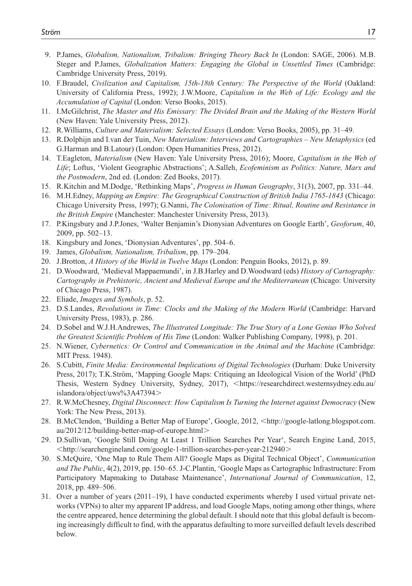- 9. P.James, *Globalism, Nationalism, Tribalism: Bringing Theory Back In* (London: SAGE, 2006). M.B. Steger and P.James, *Globalization Matters: Engaging the Global in Unsettled Times* (Cambridge: Cambridge University Press, 2019).
- 10. F.Braudel, *Civilization and Capitalism, 15th-18th Century: The Perspective of the World* (Oakland: University of California Press, 1992); J.W.Moore, *Capitalism in the Web of Life: Ecology and the Accumulation of Capital* (London: Verso Books, 2015).
- 11. I.McGilchrist, *The Master and His Emissary: The Divided Brain and the Making of the Western World* (New Haven: Yale University Press, 2012).
- 12. R.Williams, *Culture and Materialism: Selected Essays* (London: Verso Books, 2005), pp. 31–49.
- 13. R.Dolphijn and I.van der Tuin, *New Materialism: Interviews and Cartographies New Metaphysics* (ed G.Harman and B.Latour) (London: Open Humanities Press, 2012).
- 14. T.Eagleton, *Materialism* (New Haven: Yale University Press, 2016); Moore, *Capitalism in the Web of Life*; Loftus, 'Violent Geographic Abstractions'; A.Salleh, *Ecofeminism as Politics: Nature, Marx and the Postmodern*, 2nd ed. (London: Zed Books, 2017).
- 15. R.Kitchin and M.Dodge, 'Rethinking Maps', *Progress in Human Geography*, 31(3), 2007, pp. 331–44.
- 16. M.H.Edney, *Mapping an Empire: The Geographical Construction of British India 1765-1843* (Chicago: Chicago University Press, 1997); G.Nanni, *The Colonisation of Time: Ritual, Routine and Resistance in the British Empire* (Manchester: Manchester University Press, 2013).
- 17. P.Kingsbury and J.P.Jones, 'Walter Benjamin's Dionysian Adventures on Google Earth', *Geoforum*, 40, 2009, pp. 502–13.
- 18. Kingsbury and Jones, 'Dionysian Adventures', pp. 504–6.
- 19. James, *Globalism, Nationalism, Tribalism*, pp. 179–204.
- 20. J.Brotton, *A History of the World in Twelve Maps* (London: Penguin Books, 2012), p. 89.
- 21. D.Woodward, 'Medieval Mappaemundi', in J.B.Harley and D.Woodward (eds) *History of Cartography: Cartography in Prehistoric, Ancient and Medieval Europe and the Mediterranean* (Chicago: University of Chicago Press, 1987).
- 22. Eliade, *Images and Symbols*, p. 52.
- 23. D.S.Landes, *Revolutions in Time: Clocks and the Making of the Modern World* (Cambridge: Harvard University Press, 1983), p. 286.
- 24. D.Sobel and W.J.H.Andrewes, *The Illustrated Longitude: The True Story of a Lone Genius Who Solved the Greatest Scientific Problem of His Time* (London: Walker Publishing Company, 1998), p. 201.
- 25. N.Wiener, *Cybernetics: Or Control and Communication in the Animal and the Machine* (Cambridge: MIT Press. 1948).
- 26. S.Cubitt, *Finite Media: Environmental Implications of Digital Technologies* (Durham: Duke University Press, 2017); T.K.Ström, 'Mapping Google Maps: Critiquing an Ideological Vision of the World' (PhD Thesis, Western Sydney University, Sydney, 2017), <[https://researchdirect.westernsydney.edu.au/](https://researchdirect.westernsydney.edu.au/islandora/object/uws%3A47394) [islandora/object/uws%3A47394](https://researchdirect.westernsydney.edu.au/islandora/object/uws%3A47394)>
- 27. R.W.McChesney, *Digital Disconnect: How Capitalism Is Turning the Internet against Democracy* (New York: The New Press, 2013).
- 28. B.McClendon, 'Building a Better Map of Europe', Google, 2012, <[http://google-latlong.blogspot.com.](http://google-latlong.blogspot.com.au/2012/12/building-better-map-of-europe.html) [au/2012/12/building-better-map-of-europe.html](http://google-latlong.blogspot.com.au/2012/12/building-better-map-of-europe.html)>
- 29. D.Sullivan, 'Google Still Doing At Least 1 Trillion Searches Per Year', Search Engine Land, 2015, <<http://searchengineland.com/google-1-trillion-searches-per-year-212940>>
- 30. S.McQuire, 'One Map to Rule Them All? Google Maps as Digital Technical Object', *Communication and The Public*, 4(2), 2019, pp. 150–65. J-C.Plantin, 'Google Maps as Cartographic Infrastructure: From Participatory Mapmaking to Database Maintenance', *International Journal of Communication*, 12, 2018, pp. 489–506.
- 31. Over a number of years (2011–19), I have conducted experiments whereby I used virtual private networks (VPNs) to alter my apparent IP address, and load Google Maps, noting among other things, where the centre appeared, hence determining the global default. I should note that this global default is becoming increasingly difficult to find, with the apparatus defaulting to more surveilled default levels described below.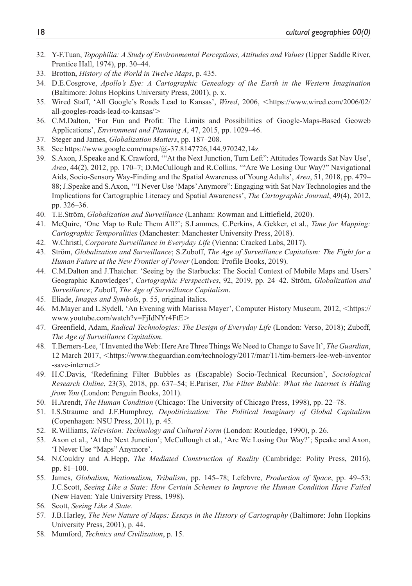- 32. Y-F.Tuan, *Topophilia: A Study of Environmental Perceptions, Attitudes and Values* (Upper Saddle River, Prentice Hall, 1974), pp. 30–44.
- 33. Brotton, *History of the World in Twelve Maps*, p. 435.
- 34. D.E.Cosgrove, *Apollo's Eye: A Cartographic Genealogy of the Earth in the Western Imagination* (Baltimore: Johns Hopkins University Press, 2001), p. x.
- 35. Wired Staff, 'All Google's Roads Lead to Kansas', *Wired*, 2006, <[https://www.wired.com/2006/02/](https://www.wired.com/2006/02/all-googles-roads-lead-to-kansas/) [all-googles-roads-lead-to-kansas/](https://www.wired.com/2006/02/all-googles-roads-lead-to-kansas/)>
- 36. C.M.Dalton, 'For Fun and Profit: The Limits and Possibilities of Google-Maps-Based Geoweb Applications', *Environment and Planning A*, 47, 2015, pp. 1029–46.
- 37. Steger and James, *Globalization Matters*, pp. 187–208.
- 38. See <https://www.google.com/maps/@-37.8147726,144.970242,14z>
- 39. S.Axon, J.Speake and K.Crawford, '"At the Next Junction, Turn Left": Attitudes Towards Sat Nav Use', *Area*, 44(2), 2012, pp. 170–7; D.McCullough and R.Collins, '"Are We Losing Our Way?" Navigational Aids, Socio-Sensory Way-Finding and the Spatial Awareness of Young Adults', *Area*, 51, 2018, pp. 479– 88; J.Speake and S.Axon, '"I Never Use 'Maps' Anymore": Engaging with Sat Nav Technologies and the Implications for Cartographic Literacy and Spatial Awareness', *The Cartographic Journal*, 49(4), 2012, pp. 326–36.
- 40. T.E.Ström, *Globalization and Surveillance* (Lanham: Rowman and Littlefield, 2020).
- 41. McQuire, 'One Map to Rule Them All?'; S.Lammes, C.Perkins, A.Gekker, et al., *Time for Mapping: Cartographic Temporalities* (Manchester: Manchester University Press, 2018).
- 42. W.Christl, *Corporate Surveillance in Everyday Life* (Vienna: Cracked Labs, 2017).
- 43. Ström, *Globalization and Surveillance*; S.Zuboff, *The Age of Surveillance Capitalism: The Fight for a Human Future at the New Frontier of Power* (London: Profile Books, 2019).
- 44. C.M.Dalton and J.Thatcher. 'Seeing by the Starbucks: The Social Context of Mobile Maps and Users' Geographic Knowledges', *Cartographic Perspectives*, 92, 2019, pp. 24–42. Ström, *Globalization and Surveillance*; Zuboff, *The Age of Surveillance Capitalism*.
- 45. Eliade, *Images and Symbols*, p. 55, original italics.
- 46. M.Mayer and L.Sydell, 'An Evening with Marissa Mayer', Computer History Museum, 2012, <[https://](https://www.youtube.com/watch?v=FjIdNYr4FtE) [www.youtube.com/watch?v=FjIdNYr4FtE](https://www.youtube.com/watch?v=FjIdNYr4FtE)>
- 47. Greenfield, Adam, *Radical Technologies: The Design of Everyday Life* (London: Verso, 2018); Zuboff, *The Age of Surveillance Capitalism*.
- 48. T.Berners-Lee, 'I Invented the Web: Here Are Three Things We Need to Change to Save It', *The Guardian*, 12 March 2017, <[https://www.theguardian.com/technology/2017/mar/11/tim-berners-lee-web-inventor](https://www.theguardian.com/technology/2017/mar/11/tim-berners-lee-web-inventor-save-internet) [-save-internet](https://www.theguardian.com/technology/2017/mar/11/tim-berners-lee-web-inventor-save-internet)>
- 49. H.C.Davis, 'Redefining Filter Bubbles as (Escapable) Socio-Technical Recursion', *Sociological Research Online*, 23(3), 2018, pp. 637–54; E.Pariser, *The Filter Bubble: What the Internet is Hiding from You* (London: Penguin Books, 2011).
- 50. H.Arendt, *The Human Condition* (Chicago: The University of Chicago Press, 1998), pp. 22–78.
- 51. I.S.Straume and J.F.Humphrey, *Depoliticization: The Political Imaginary of Global Capitalism* (Copenhagen: NSU Press, 2011), p. 45.
- 52. R.Williams, *Television: Technology and Cultural Form* (London: Routledge, 1990), p. 26.
- 53. Axon et al., 'At the Next Junction'; McCullough et al., 'Are We Losing Our Way?'; Speake and Axon, 'I Never Use "Maps" Anymore'.
- 54. N.Couldry and A.Hepp, *The Mediated Construction of Reality* (Cambridge: Polity Press, 2016), pp. 81–100.
- 55. James, *Globalism, Nationalism, Tribalism*, pp. 145–78; Lefebvre, *Production of Space*, pp. 49–53; J.C.Scott, *Seeing Like a State: How Certain Schemes to Improve the Human Condition Have Failed* (New Haven: Yale University Press, 1998).
- 56. Scott, *Seeing Like A State.*
- 57. J.B.Harley, *The New Nature of Maps: Essays in the History of Cartography* (Baltimore: John Hopkins University Press, 2001), p. 44.
- 58. Mumford, *Technics and Civilization*, p. 15.